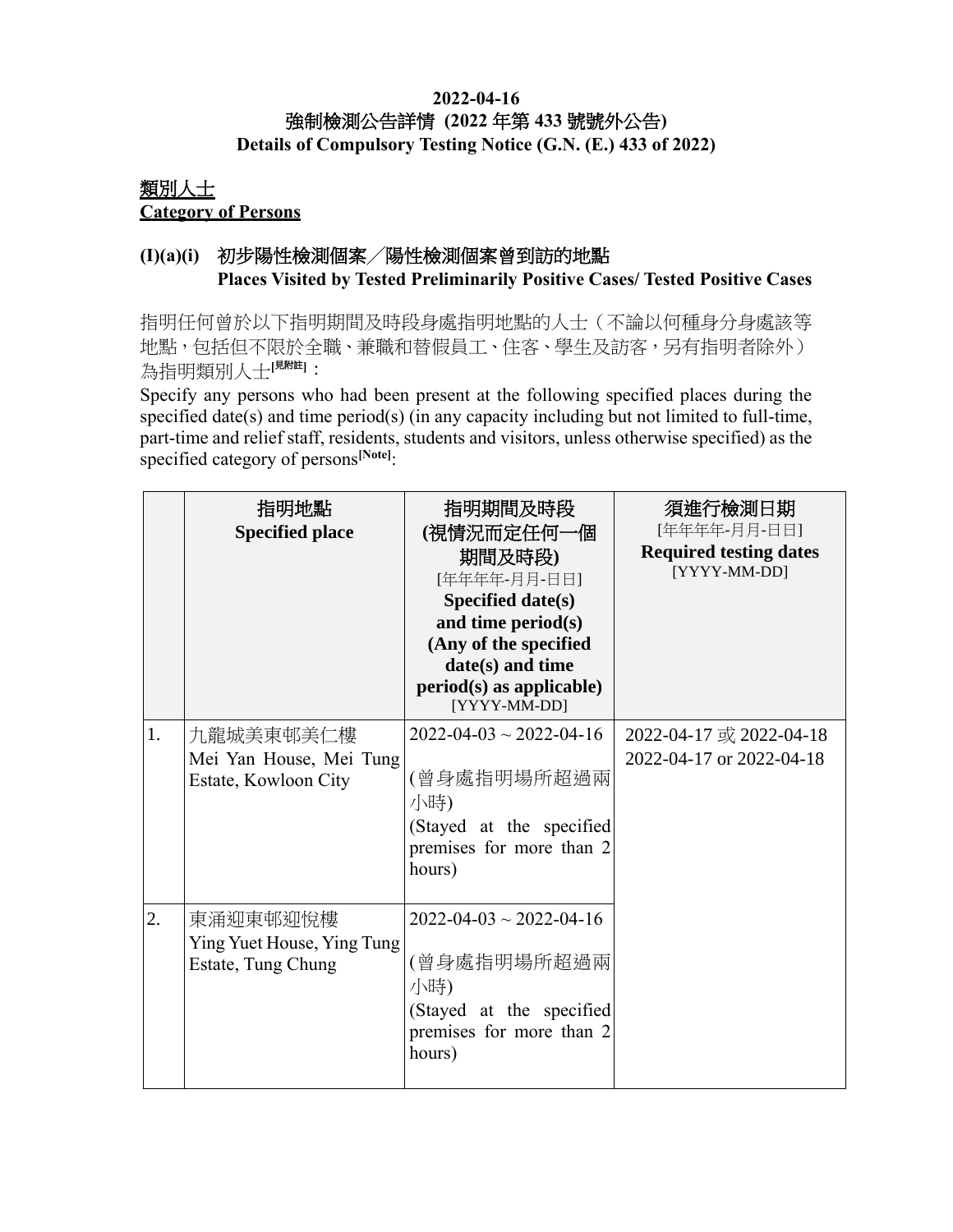#### **2022-04-16** 強制檢測公告詳情 **(2022** 年第 **433** 號號外公告**) Details of Compulsory Testing Notice (G.N. (E.) 433 of 2022)**

## 類別人士 **Category of Persons**

## **(I)(a)(i)** 初步陽性檢測個案╱陽性檢測個案曾到訪的地點 **Places Visited by Tested Preliminarily Positive Cases/ Tested Positive Cases**

指明任何曾於以下指明期間及時段身處指明地點的人士(不論以何種身分身處該等 地點,包括但不限於全職、兼職和替假員工、住客、學生及訪客,另有指明者除外) 為指明類別人士[<sup>見附註]</sup>:

Specify any persons who had been present at the following specified places during the specified date(s) and time period(s) (in any capacity including but not limited to full-time, part-time and relief staff, residents, students and visitors, unless otherwise specified) as the specified category of persons**[Note]**:

|    | 指明地點<br><b>Specified place</b>                               | 指明期間及時段<br>(視情況而定任何一個<br>期間及時段)<br>[年年年年-月月-日日]<br><b>Specified date(s)</b><br>and time period(s)<br>(Any of the specified<br>date(s) and time<br>$period(s)$ as applicable)<br>[YYYY-MM-DD] | 須進行檢測日期<br>[年年年年-月月-日日]<br><b>Required testing dates</b><br>[YYYY-MM-DD] |
|----|--------------------------------------------------------------|----------------------------------------------------------------------------------------------------------------------------------------------------------------------------------------------|--------------------------------------------------------------------------|
| 1. | 九龍城美東邨美仁樓<br>Mei Yan House, Mei Tung<br>Estate, Kowloon City | $2022 - 04 - 03 \sim 2022 - 04 - 16$<br>(曾身處指明場所超過兩<br>小時)<br>(Stayed at the specified<br>premises for more than 2<br>hours)                                                                 | 2022-04-17 或 2022-04-18<br>2022-04-17 or 2022-04-18                      |
| 2. | 東涌迎東邨迎悅樓<br>Ying Yuet House, Ying Tung<br>Estate, Tung Chung | $2022 - 04 - 03 \sim 2022 - 04 - 16$<br>(曾身處指明場所超過兩<br>小時)<br>(Stayed at the specified<br>premises for more than 2<br>hours)                                                                 |                                                                          |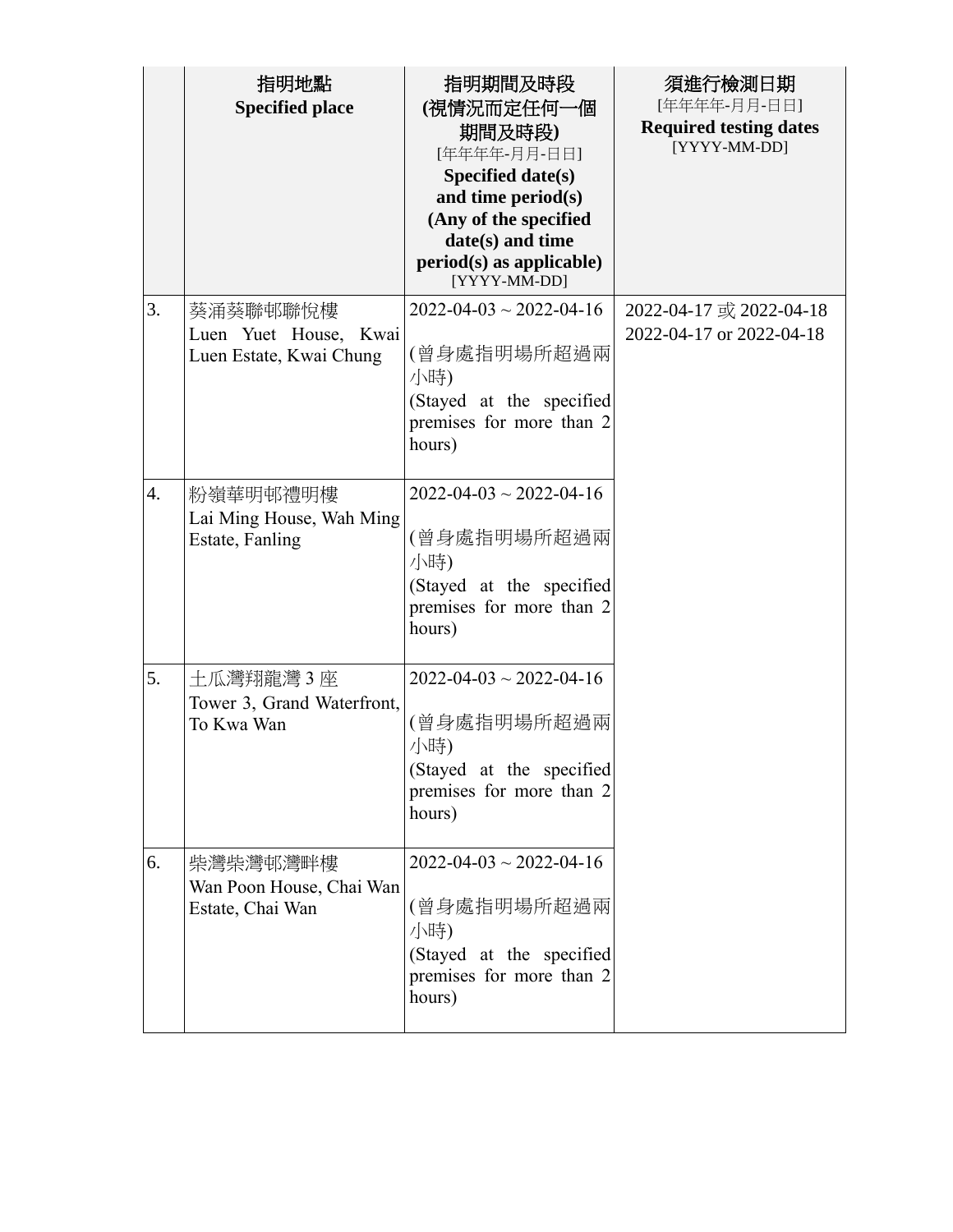|                  | 指明地點<br><b>Specified place</b>                               | 指明期間及時段<br>(視情況而定任何一個<br>期間及時段)<br>[年年年年-月月-日日]<br>Specified date(s)<br>and time period(s)<br>(Any of the specified<br>date(s) and time<br>$period(s)$ as applicable)<br>[YYYY-MM-DD] | 須進行檢測日期<br>[年年年年-月月-日日]<br><b>Required testing dates</b><br>[YYYY-MM-DD] |
|------------------|--------------------------------------------------------------|---------------------------------------------------------------------------------------------------------------------------------------------------------------------------------------|--------------------------------------------------------------------------|
| 3.               | 葵涌葵聯邨聯悅樓<br>Luen Yuet House, Kwai<br>Luen Estate, Kwai Chung | $2022 - 04 - 03 \sim 2022 - 04 - 16$<br>(曾身處指明場所超過兩<br>小時)<br>(Stayed at the specified<br>premises for more than 2<br>hours)                                                          | 2022-04-17 或 2022-04-18<br>2022-04-17 or 2022-04-18                      |
| $\overline{4}$ . | 粉嶺華明邨禮明樓<br>Lai Ming House, Wah Ming<br>Estate, Fanling      | $2022 - 04 - 03 \sim 2022 - 04 - 16$<br>(曾身處指明場所超過兩<br>小時)<br>(Stayed at the specified<br>premises for more than 2<br>hours)                                                          |                                                                          |
| 5.               | 土瓜灣翔龍灣 3 座<br>Tower 3, Grand Waterfront,<br>To Kwa Wan       | $2022 - 04 - 03 \sim 2022 - 04 - 16$<br>(曾身處指明場所超過兩<br>小時)<br>(Stayed at the specified<br>premises for more than 2<br>hours)                                                          |                                                                          |
| 6.               | 柴灣柴灣邨灣畔樓<br>Wan Poon House, Chai Wan<br>Estate, Chai Wan     | $2022 - 04 - 03 \sim 2022 - 04 - 16$<br>(曾身處指明場所超過兩<br>小時)<br>(Stayed at the specified<br>premises for more than 2<br>hours)                                                          |                                                                          |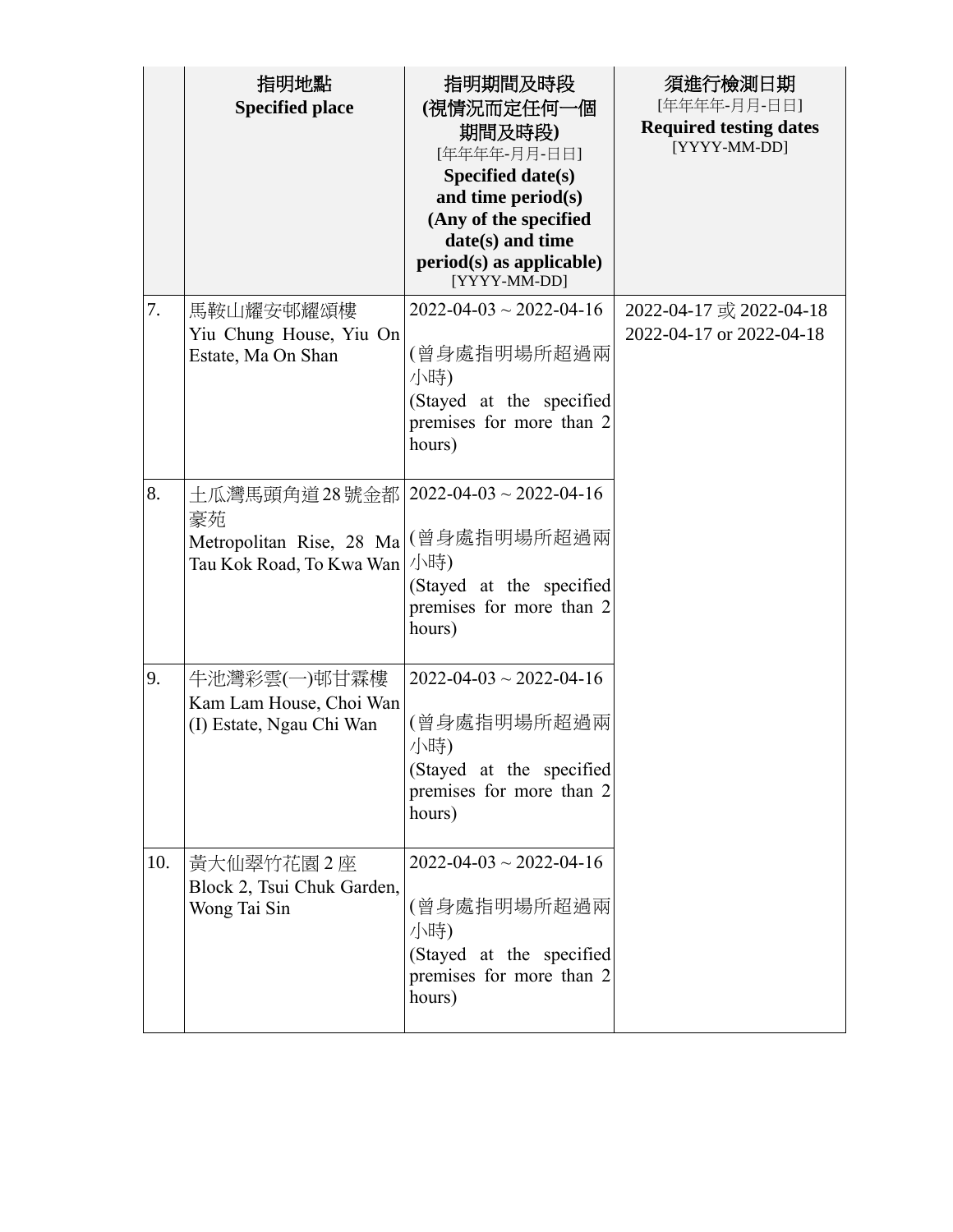|     | 指明地點<br><b>Specified place</b>                                                                                 | 指明期間及時段<br>(視情況而定任何一個<br>期間及時段)<br>[年年年年-月月-日日]<br>Specified date(s)<br>and time period(s)<br>(Any of the specified<br>date(s) and time<br>$period(s)$ as applicable)<br>[YYYY-MM-DD] | 須進行檢測日期<br>[年年年年-月月-日日]<br><b>Required testing dates</b><br>[YYYY-MM-DD] |
|-----|----------------------------------------------------------------------------------------------------------------|---------------------------------------------------------------------------------------------------------------------------------------------------------------------------------------|--------------------------------------------------------------------------|
| 7.  | 馬鞍山耀安邨耀頌樓<br>Yiu Chung House, Yiu On<br>Estate, Ma On Shan                                                     | $2022 - 04 - 03 \sim 2022 - 04 - 16$<br>(曾身處指明場所超過兩<br>小時)<br>(Stayed at the specified<br>premises for more than 2<br>hours)                                                          | 2022-04-17 或 2022-04-18<br>2022-04-17 or 2022-04-18                      |
| 8.  | 土瓜灣馬頭角道28號金都   2022-04-03~2022-04-16<br>豪苑<br>Metropolitan Rise, 28 Ma (曾身處指明場所超過兩<br>Tau Kok Road, To Kwa Wan | 小時)<br>(Stayed at the specified<br>premises for more than 2<br>hours)                                                                                                                 |                                                                          |
| 9.  | 牛池灣彩雲(一)邨甘霖樓<br>Kam Lam House, Choi Wan<br>(I) Estate, Ngau Chi Wan                                            | $2022 - 04 - 03 \sim 2022 - 04 - 16$<br>(曾身處指明場所超過兩<br>小時)<br>(Stayed at the specified<br>premises for more than 2<br>hours)                                                          |                                                                          |
| 10. | 黃大仙翠竹花園2座<br>Block 2, Tsui Chuk Garden,<br>Wong Tai Sin                                                        | $2022 - 04 - 03 \sim 2022 - 04 - 16$<br>(曾身處指明場所超過兩<br>小時)<br>(Stayed at the specified<br>premises for more than 2<br>hours)                                                          |                                                                          |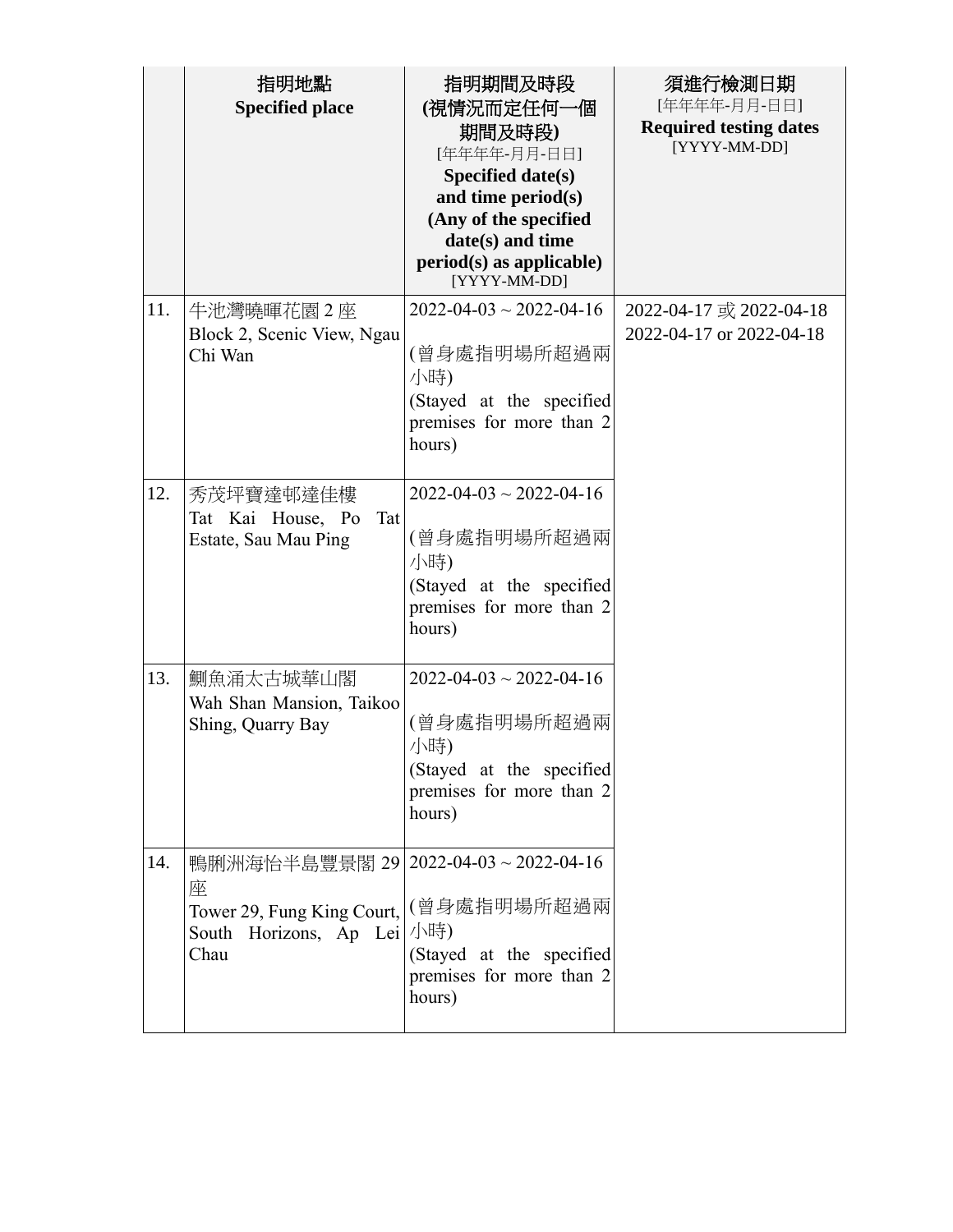|     | 指明地點<br><b>Specified place</b>                                                                                                          | 指明期間及時段<br>(視情況而定任何一個<br>期間及時段)<br>[年年年年-月月-日日]<br>Specified date(s)<br>and time period(s)<br>(Any of the specified<br>date(s) and time<br>$period(s)$ as applicable)<br>[YYYY-MM-DD] | 須進行檢測日期<br>[年年年年-月月-日日]<br><b>Required testing dates</b><br>[YYYY-MM-DD] |
|-----|-----------------------------------------------------------------------------------------------------------------------------------------|---------------------------------------------------------------------------------------------------------------------------------------------------------------------------------------|--------------------------------------------------------------------------|
| 11. | 牛池灣曉暉花園2座<br>Block 2, Scenic View, Ngau<br>Chi Wan                                                                                      | $2022 - 04 - 03 \sim 2022 - 04 - 16$<br>(曾身處指明場所超過兩<br>小時)<br>(Stayed at the specified<br>premises for more than 2<br>hours)                                                          | 2022-04-17 或 2022-04-18<br>2022-04-17 or 2022-04-18                      |
| 12. | 秀茂坪寶達邨達佳樓<br>Tat Kai House, Po<br>Tat<br>Estate, Sau Mau Ping                                                                           | $2022 - 04 - 03 \sim 2022 - 04 - 16$<br>(曾身處指明場所超過兩<br>小時)<br>(Stayed at the specified<br>premises for more than 2<br>hours)                                                          |                                                                          |
| 13. | 鰂魚涌太古城華山閣<br>Wah Shan Mansion, Taikoo<br>Shing, Quarry Bay                                                                              | $2022 - 04 - 03 \sim 2022 - 04 - 16$<br>(曾身處指明場所超過兩<br>小時)<br>(Stayed at the specified<br>premises for more than 2<br>hours)                                                          |                                                                          |
| 14. | 鴨脷洲海怡半島豐景閣 29 2022-04-03~2022-04-16<br>座<br>Tower 29, Fung King Court,   (曾身處指明場所超過兩<br>South Horizons, Ap Lei <sup> </sup> 小時)<br>Chau | (Stayed at the specified<br>premises for more than 2<br>hours)                                                                                                                        |                                                                          |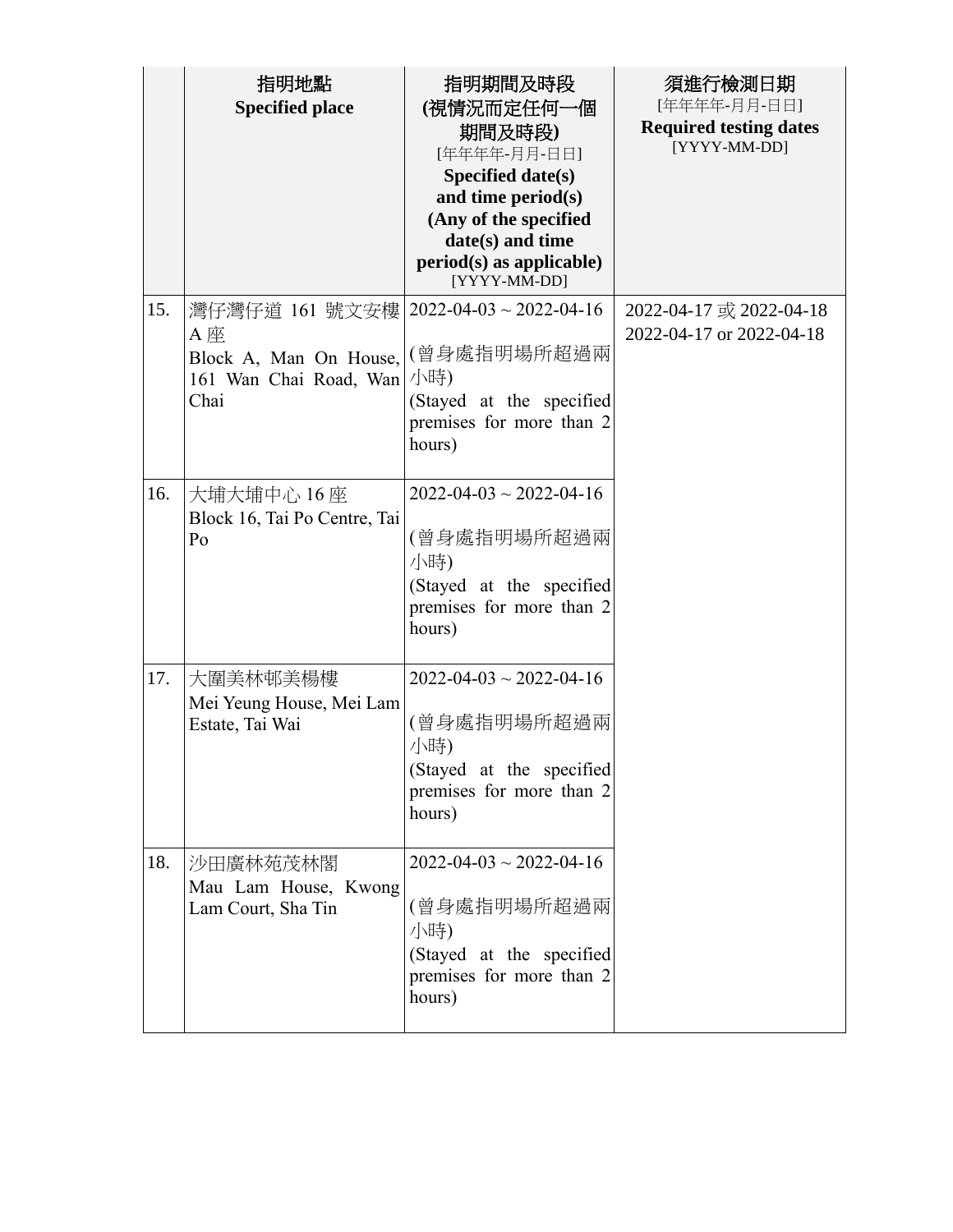|     | 指明地點<br><b>Specified place</b>                                                                              | 指明期間及時段<br>(視情況而定任何一個<br>期間及時段)<br>[年年年年-月月-日日]<br>Specified date(s)<br>and time period(s)<br>(Any of the specified<br>date(s) and time<br>$period(s)$ as applicable)<br>[YYYY-MM-DD] | 須進行檢測日期<br>[年年年年-月月-日日]<br><b>Required testing dates</b><br>[YYYY-MM-DD] |
|-----|-------------------------------------------------------------------------------------------------------------|---------------------------------------------------------------------------------------------------------------------------------------------------------------------------------------|--------------------------------------------------------------------------|
| 15. | 灣仔灣仔道 161 號文安樓   2022-04-03 ~ 2022-04-16<br>A 座<br>Block A, Man On House,<br>161 Wan Chai Road, Wan<br>Chai | (曾身處指明場所超過兩<br>小時)<br>(Stayed at the specified<br>premises for more than 2<br>hours)                                                                                                  | 2022-04-17 或 2022-04-18<br>2022-04-17 or 2022-04-18                      |
| 16. | 大埔大埔中心 16座<br>Block 16, Tai Po Centre, Tai<br>Po                                                            | $2022 - 04 - 03 \sim 2022 - 04 - 16$<br>(曾身處指明場所超過兩<br>小時)<br>(Stayed at the specified<br>premises for more than 2<br>hours)                                                          |                                                                          |
| 17. | 大圍美林邨美楊樓<br>Mei Yeung House, Mei Lam<br>Estate, Tai Wai                                                     | $2022 - 04 - 03 \sim 2022 - 04 - 16$<br>(曾身處指明場所超過兩<br>小時)<br>(Stayed at the specified<br>premises for more than 2<br>hours)                                                          |                                                                          |
| 18. | 沙田廣林苑茂林閣<br>Mau Lam House, Kwong<br>Lam Court, Sha Tin                                                      | $2022 - 04 - 03 \sim 2022 - 04 - 16$<br>(曾身處指明場所超過兩<br>小時)<br>(Stayed at the specified<br>premises for more than 2<br>hours)                                                          |                                                                          |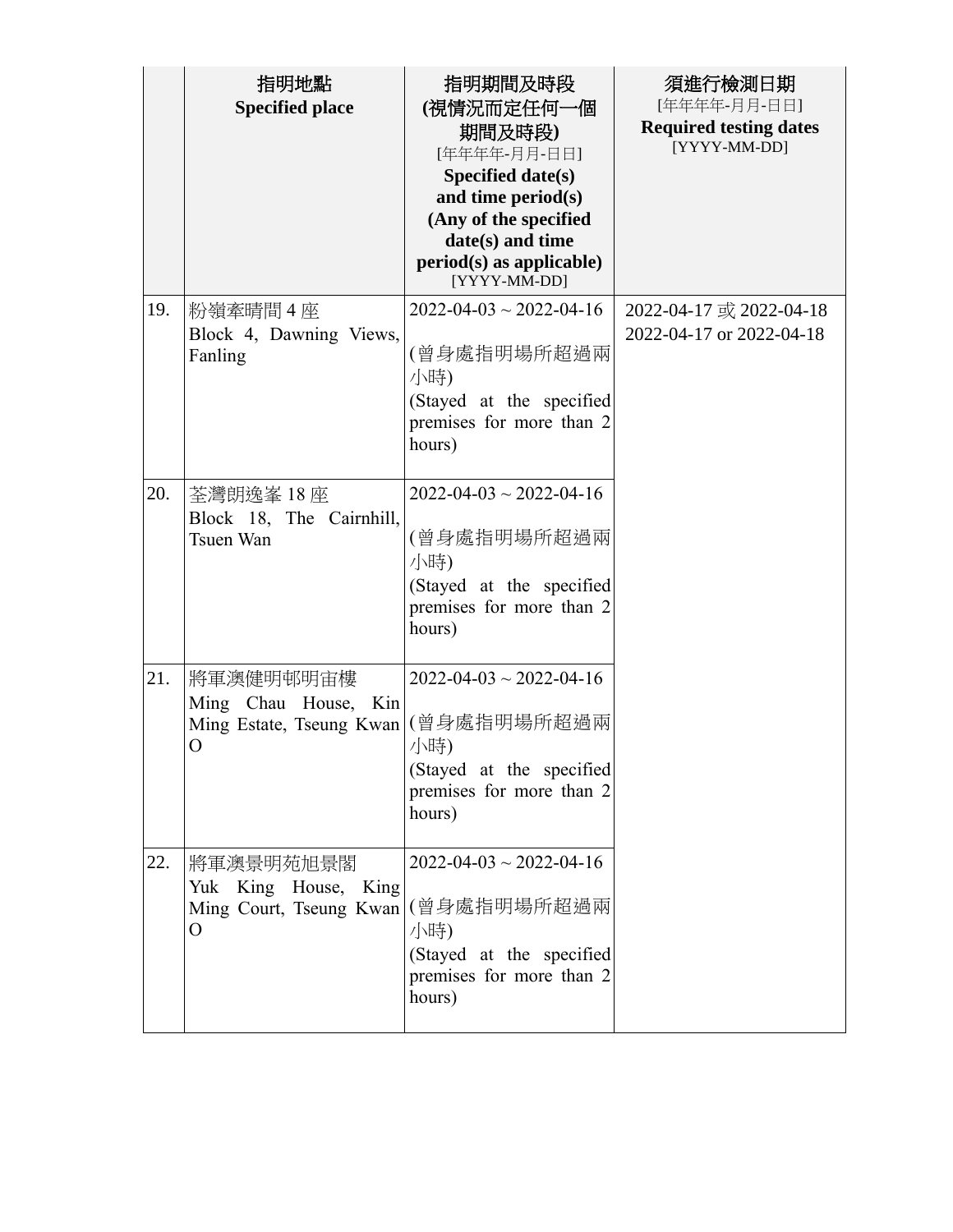|     | 指明地點<br><b>Specified place</b>                                                   | 指明期間及時段<br>(視情況而定任何一個<br>期間及時段)<br>[年年年年-月月-日日]<br>Specified date(s)<br>and time period(s)<br>(Any of the specified<br>date(s) and time<br>$period(s)$ as applicable)<br>[YYYY-MM-DD] | 須進行檢測日期<br>[年年年年-月月-日日]<br><b>Required testing dates</b><br>[YYYY-MM-DD] |
|-----|----------------------------------------------------------------------------------|---------------------------------------------------------------------------------------------------------------------------------------------------------------------------------------|--------------------------------------------------------------------------|
| 19. | 粉嶺牽晴間4座<br>Block 4, Dawning Views,<br>Fanling                                    | $2022 - 04 - 03 \sim 2022 - 04 - 16$<br>(曾身處指明場所超過兩<br>小時)<br>(Stayed at the specified<br>premises for more than 2<br>hours)                                                          | 2022-04-17 或 2022-04-18<br>2022-04-17 or 2022-04-18                      |
| 20. | 荃灣朗逸峯 18座<br>Block 18, The Cairnhill,<br>Tsuen Wan                               | $2022 - 04 - 03 \sim 2022 - 04 - 16$<br>(曾身處指明場所超過兩<br>小時)<br>(Stayed at the specified<br>premises for more than 2<br>hours)                                                          |                                                                          |
| 21. | 將軍澳健明邨明宙樓<br>Ming Chau House, Kin<br>Ming Estate, Tseung Kwan   (曾身處指明場所超過兩<br>O | $2022 - 04 - 03 \sim 2022 - 04 - 16$<br>小時)<br>(Stayed at the specified<br>premises for more than 2<br>hours)                                                                         |                                                                          |
| 22. | 將軍澳景明苑旭景閣<br>Yuk King House, King<br>Ming Court, Tseung Kwan  (曾身處指明場所超過兩<br>O   | $2022 - 04 - 03 \sim 2022 - 04 - 16$<br>小時)<br>(Stayed at the specified<br>premises for more than 2<br>hours)                                                                         |                                                                          |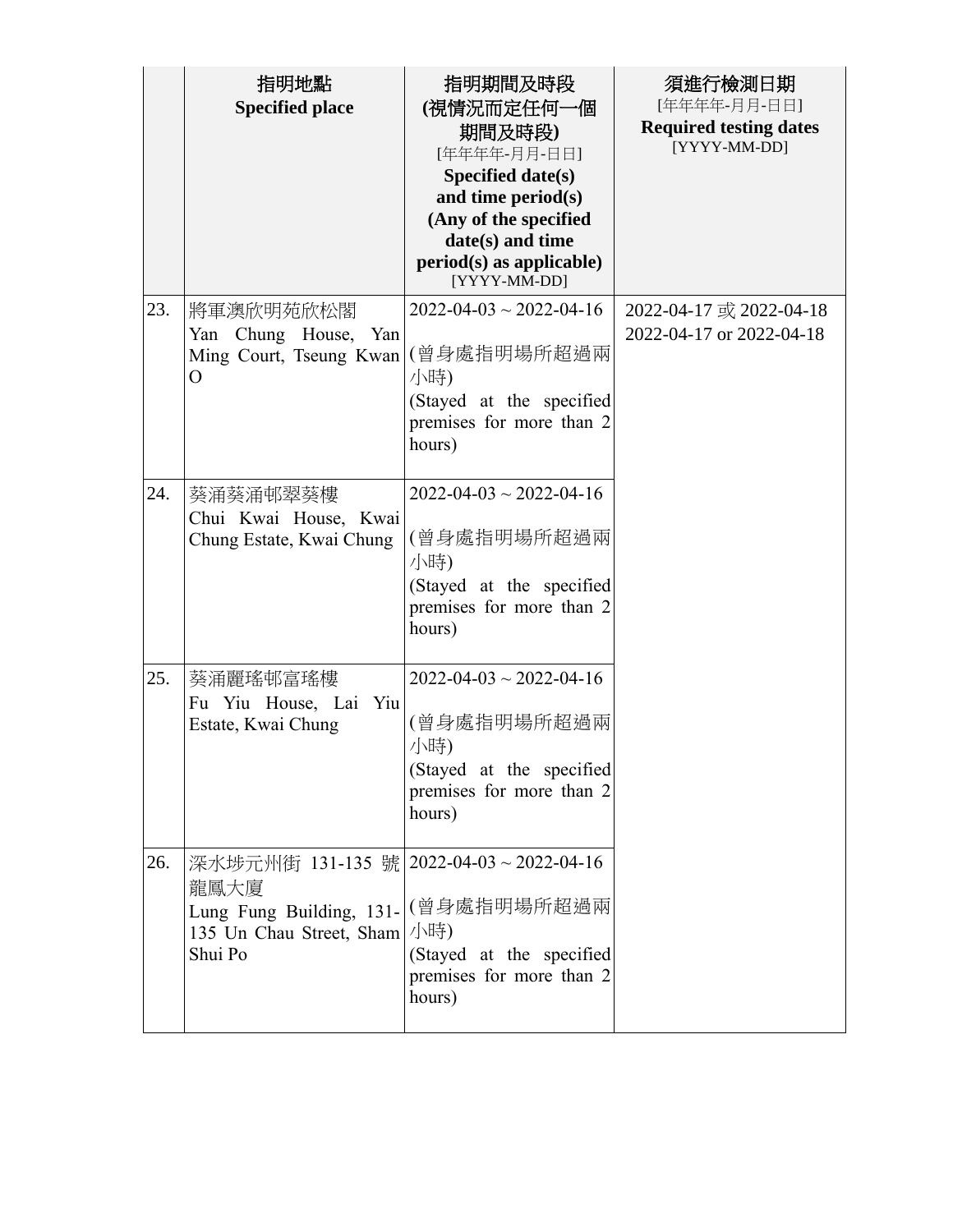|     | 指明地點<br><b>Specified place</b>                                                                                                      | 指明期間及時段<br>(視情況而定任何一個<br>期間及時段)<br>[年年年年-月月-日日]<br>Specified date(s)<br>and time period(s)<br>(Any of the specified<br>date(s) and time<br>$period(s)$ as applicable)<br>[YYYY-MM-DD] | 須進行檢測日期<br>[年年年年-月月-日日]<br><b>Required testing dates</b><br>[YYYY-MM-DD] |
|-----|-------------------------------------------------------------------------------------------------------------------------------------|---------------------------------------------------------------------------------------------------------------------------------------------------------------------------------------|--------------------------------------------------------------------------|
| 23. | 將軍澳欣明苑欣松閣<br>Yan Chung House, Yan<br>Ming Court, Tseung Kwan<br>$\overline{O}$                                                      | $2022 - 04 - 03 \sim 2022 - 04 - 16$<br>(曾身處指明場所超過兩<br>小時)<br>(Stayed at the specified<br>premises for more than 2<br>hours)                                                          | 2022-04-17 或 2022-04-18<br>2022-04-17 or 2022-04-18                      |
| 24. | 葵涌葵涌邨翠葵樓<br>Chui Kwai House, Kwai<br>Chung Estate, Kwai Chung                                                                       | $2022 - 04 - 03 \sim 2022 - 04 - 16$<br>(曾身處指明場所超過兩<br>小時)<br>(Stayed at the specified<br>premises for more than 2<br>hours)                                                          |                                                                          |
| 25. | 葵涌麗瑤邨富瑤樓<br>Fu Yiu House, Lai Yiu<br>Estate, Kwai Chung                                                                             | $2022 - 04 - 03 \sim 2022 - 04 - 16$<br>(曾身處指明場所超過兩<br>小時)<br>(Stayed at the specified<br>premises for more than 2<br>hours)                                                          |                                                                          |
| 26. | 深水埗元州街 131-135 號 2022-04-03~2022-04-16<br>龍鳳大廈<br>Lung Fung Building, 131- (曾身處指明場所超過兩<br>135 Un Chau Street, Sham   小時)<br>Shui Po | (Stayed at the specified<br>premises for more than 2<br>hours)                                                                                                                        |                                                                          |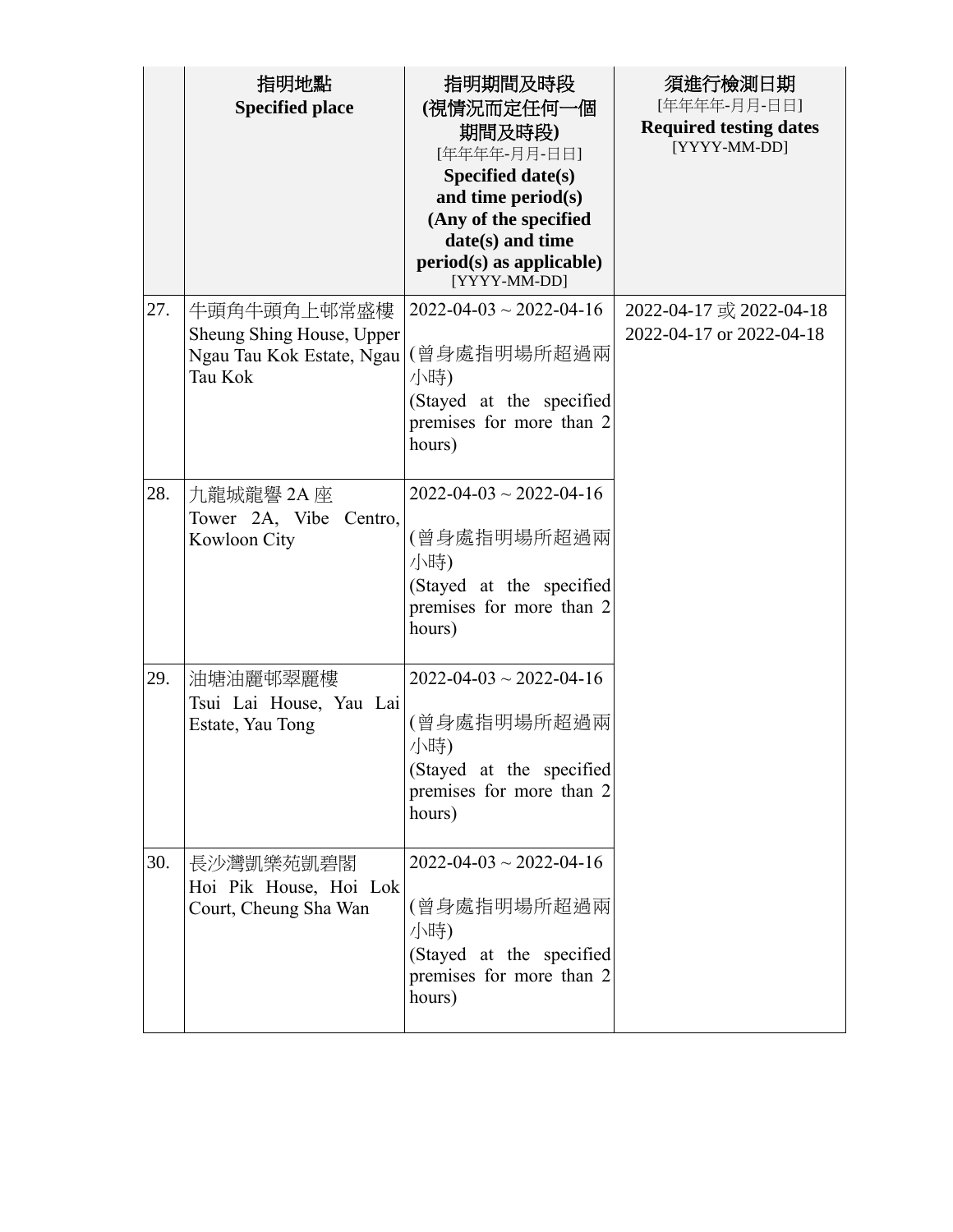|     | 指明地點<br><b>Specified place</b>                                                   | 指明期間及時段<br>(視情況而定任何一個<br>期間及時段)<br>[年年年年-月月-日日]<br>Specified date(s)<br>and time period(s)<br>(Any of the specified<br>date(s) and time<br>$period(s)$ as applicable)<br>[YYYY-MM-DD] | 須進行檢測日期<br>[年年年年-月月-日日]<br><b>Required testing dates</b><br>[YYYY-MM-DD] |
|-----|----------------------------------------------------------------------------------|---------------------------------------------------------------------------------------------------------------------------------------------------------------------------------------|--------------------------------------------------------------------------|
| 27. | 牛頭角牛頭角上邨常盛樓<br>Sheung Shing House, Upper<br>Ngau Tau Kok Estate, Ngau<br>Tau Kok | $2022 - 04 - 03 \sim 2022 - 04 - 16$<br>(曾身處指明場所超過兩<br>小時)<br>(Stayed at the specified<br>premises for more than 2<br>hours)                                                          | 2022-04-17 或 2022-04-18<br>2022-04-17 or 2022-04-18                      |
| 28. | 九龍城龍譽 2A 座<br>Tower 2A, Vibe Centro,<br>Kowloon City                             | $2022 - 04 - 03 \sim 2022 - 04 - 16$<br>(曾身處指明場所超過兩<br>小時)<br>(Stayed at the specified<br>premises for more than 2<br>hours)                                                          |                                                                          |
| 29. | 油塘油麗邨翠麗樓<br>Tsui Lai House, Yau Lai<br>Estate, Yau Tong                          | $2022 - 04 - 03 \sim 2022 - 04 - 16$<br>(曾身處指明場所超過兩<br>小時)<br>(Stayed at the specified<br>premises for more than 2<br>hours)                                                          |                                                                          |
| 30. | 長沙灣凱樂苑凱碧閣<br>Hoi Pik House, Hoi Lok<br>Court, Cheung Sha Wan                     | $2022 - 04 - 03 \sim 2022 - 04 - 16$<br>(曾身處指明場所超過兩<br>小時)<br>(Stayed at the specified<br>premises for more than 2<br>hours)                                                          |                                                                          |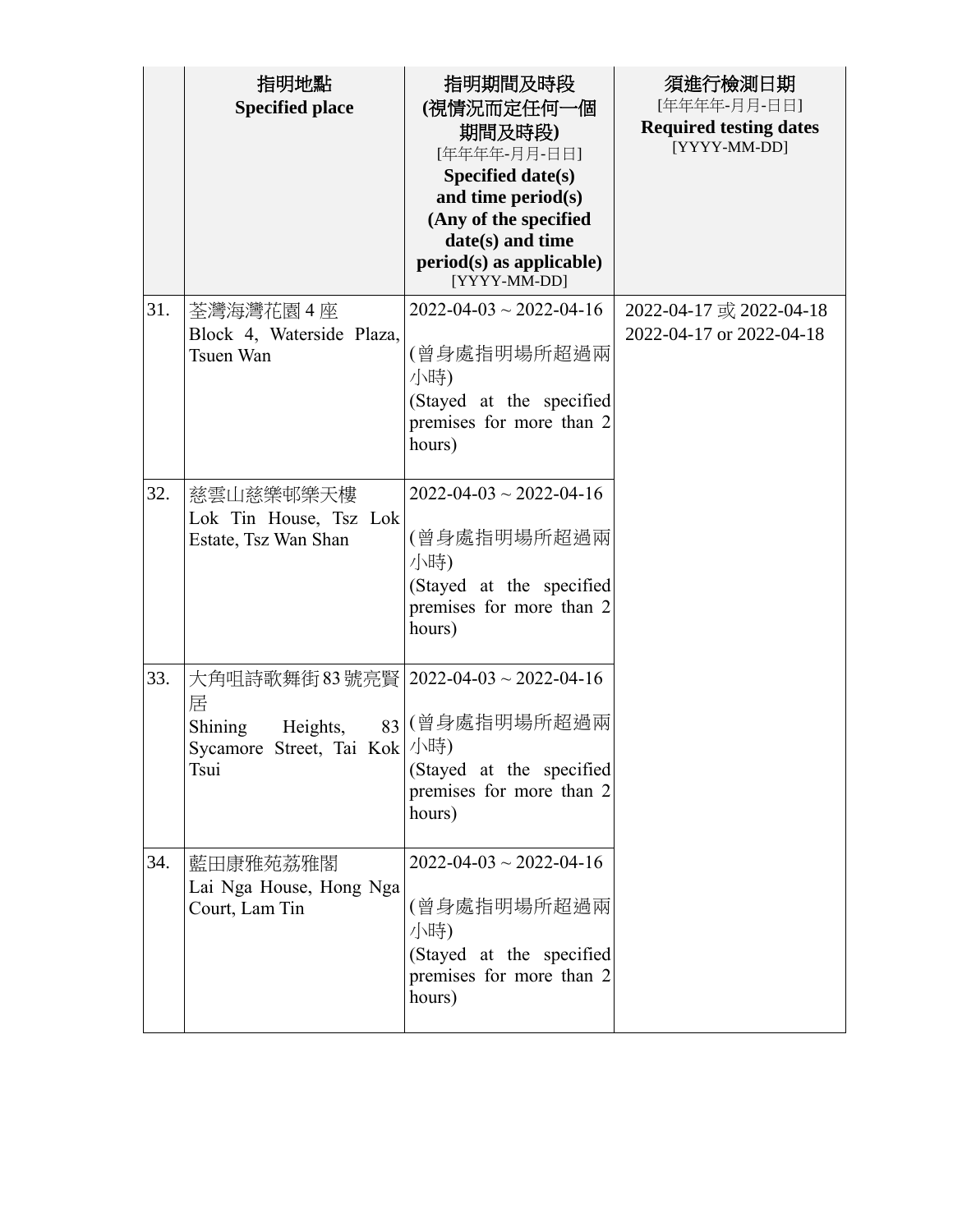|     | 指明地點<br><b>Specified place</b>                                                                             | 指明期間及時段<br>(視情況而定任何一個<br>期間及時段)<br>[年年年年-月月-日日]<br>Specified date(s)<br>and time period(s)<br>(Any of the specified<br>date(s) and time<br>$period(s)$ as applicable)<br>[YYYY-MM-DD] | 須進行檢測日期<br>[年年年年-月月-日日]<br><b>Required testing dates</b><br>[YYYY-MM-DD] |
|-----|------------------------------------------------------------------------------------------------------------|---------------------------------------------------------------------------------------------------------------------------------------------------------------------------------------|--------------------------------------------------------------------------|
| 31. | 荃灣海灣花園 4 座<br>Block 4, Waterside Plaza,<br>Tsuen Wan                                                       | $2022 - 04 - 03 \sim 2022 - 04 - 16$<br>(曾身處指明場所超過兩<br>小時)<br>(Stayed at the specified<br>premises for more than 2<br>hours)                                                          | 2022-04-17 或 2022-04-18<br>2022-04-17 or 2022-04-18                      |
| 32. | 慈雲山慈樂邨樂天樓<br>Lok Tin House, Tsz Lok<br>Estate, Tsz Wan Shan                                                | $2022 - 04 - 03 \sim 2022 - 04 - 16$<br>(曾身處指明場所超過兩<br>小時)<br>(Stayed at the specified<br>premises for more than 2<br>hours)                                                          |                                                                          |
| 33. | 大角咀詩歌舞街 83號亮賢   2022-04-03~2022-04-16<br>居<br>Shining<br>Heights,<br>Sycamore Street, Tai Kok  小時)<br>Tsui | 83 (曾身處指明場所超過兩<br>(Stayed at the specified<br>premises for more than 2<br>hours)                                                                                                      |                                                                          |
| 34. | 藍田康雅苑荔雅閣<br>Lai Nga House, Hong Nga<br>Court, Lam Tin                                                      | $2022 - 04 - 03 \sim 2022 - 04 - 16$<br>(曾身處指明場所超過兩<br>小時)<br>(Stayed at the specified<br>premises for more than 2<br>hours)                                                          |                                                                          |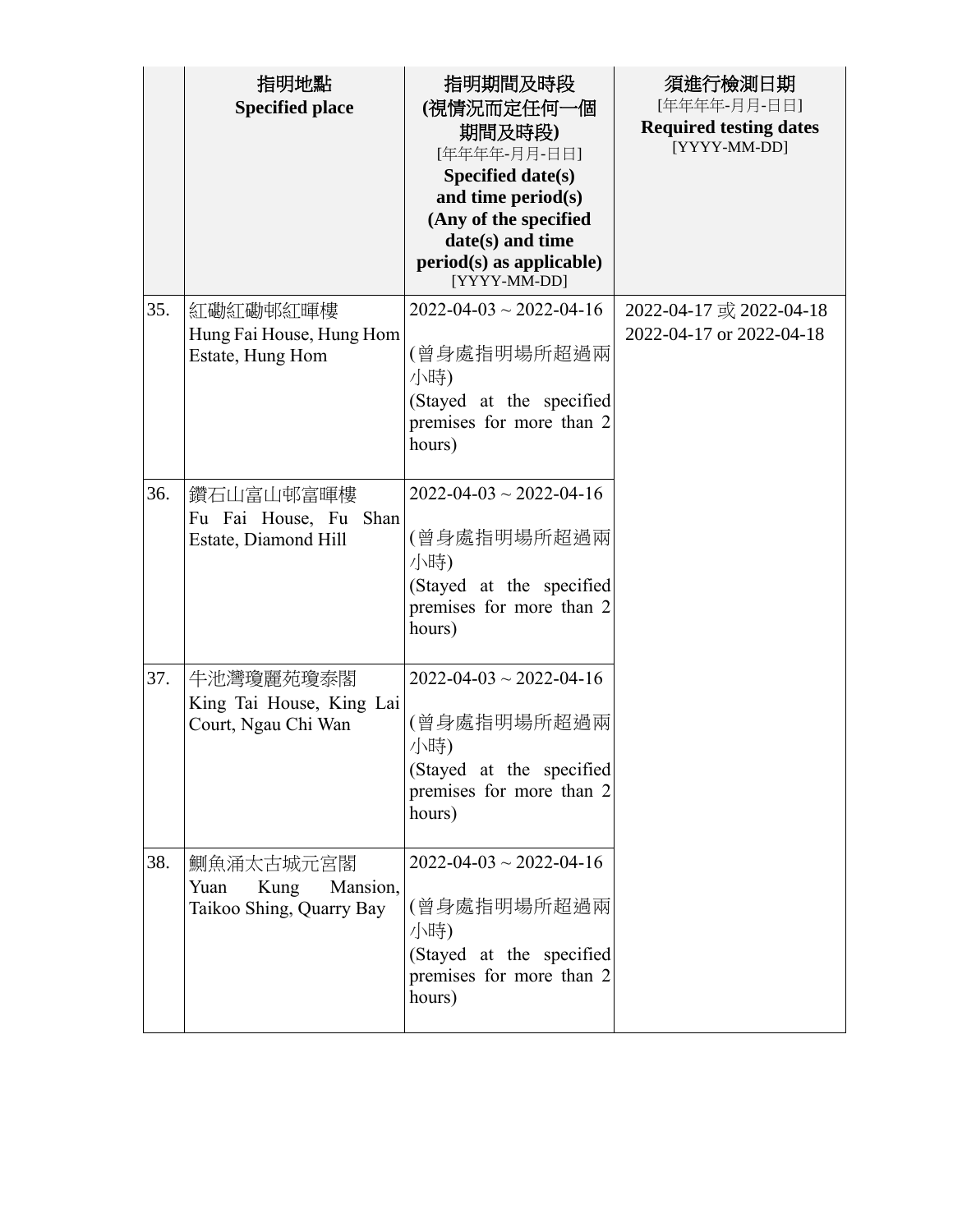|     | 指明地點<br><b>Specified place</b>                                    | 指明期間及時段<br>(視情況而定任何一個<br>期間及時段)<br>[年年年年-月月-日日]<br>Specified date(s)<br>and time period(s)<br>(Any of the specified<br>date(s) and time<br>$period(s)$ as applicable)<br>[YYYY-MM-DD] | 須進行檢測日期<br>[年年年年-月月-日日]<br><b>Required testing dates</b><br>[YYYY-MM-DD] |
|-----|-------------------------------------------------------------------|---------------------------------------------------------------------------------------------------------------------------------------------------------------------------------------|--------------------------------------------------------------------------|
| 35. | 紅磡紅磡邨紅暉樓<br>Hung Fai House, Hung Hom<br>Estate, Hung Hom          | $2022 - 04 - 03 \sim 2022 - 04 - 16$<br>(曾身處指明場所超過兩<br>小時)<br>(Stayed at the specified<br>premises for more than 2<br>hours)                                                          | 2022-04-17 或 2022-04-18<br>2022-04-17 or 2022-04-18                      |
| 36. | 鑽石山富山邨富暉樓<br>Fu Fai House, Fu Shan<br>Estate, Diamond Hill        | $2022 - 04 - 03 \sim 2022 - 04 - 16$<br>(曾身處指明場所超過兩<br>小時)<br>(Stayed at the specified<br>premises for more than 2<br>hours)                                                          |                                                                          |
| 37. | 牛池灣瓊麗苑瓊泰閣<br>King Tai House, King Lai<br>Court, Ngau Chi Wan      | $2022 - 04 - 03 \sim 2022 - 04 - 16$<br>(曾身處指明場所超過兩<br>小時)<br>(Stayed at the specified<br>premises for more than 2<br>hours)                                                          |                                                                          |
| 38. | 鰂魚涌太古城元宮閣<br>Yuan<br>Mansion,<br>Kung<br>Taikoo Shing, Quarry Bay | $2022 - 04 - 03 \sim 2022 - 04 - 16$<br>(曾身處指明場所超過兩<br>小時)<br>(Stayed at the specified<br>premises for more than 2<br>hours)                                                          |                                                                          |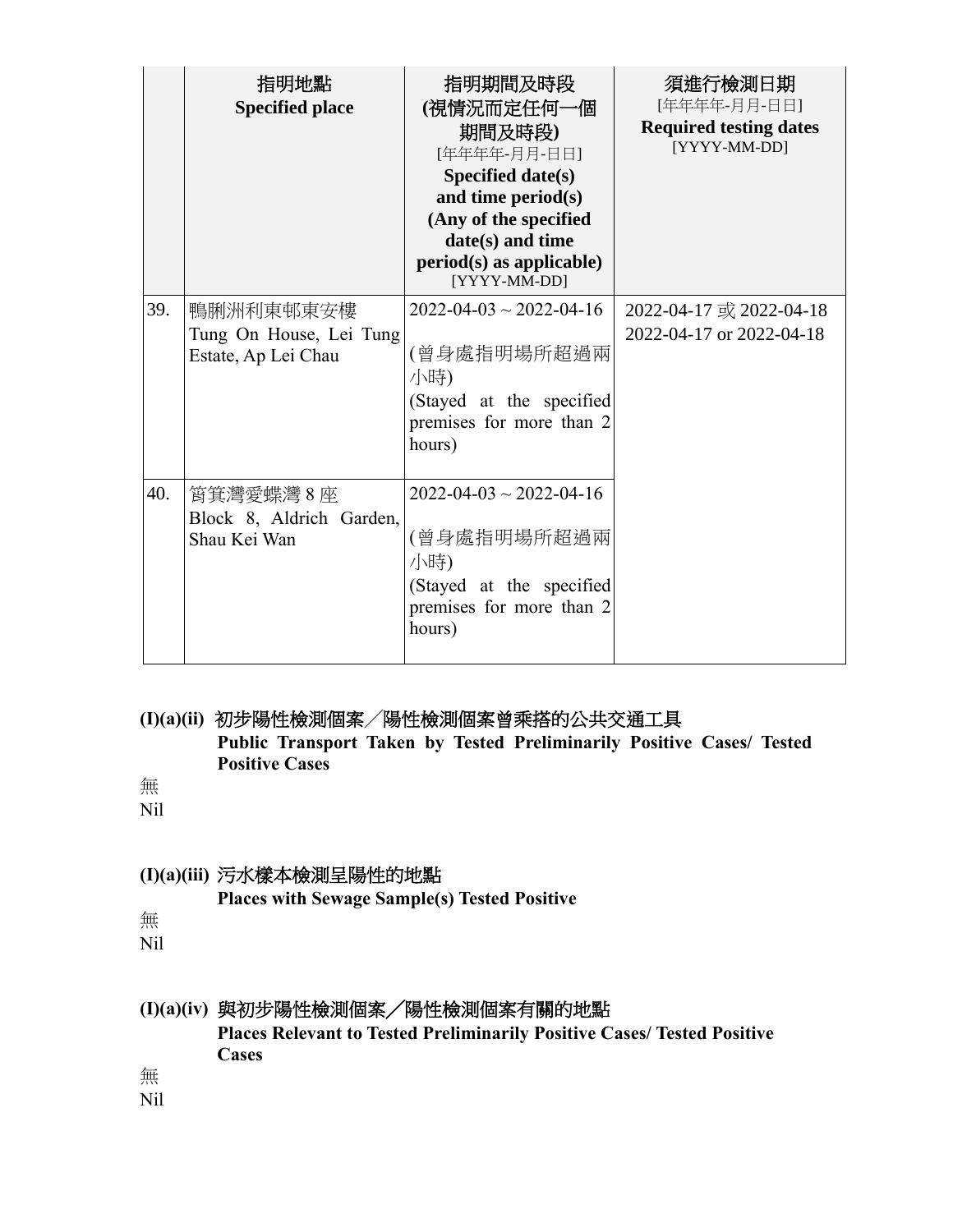|     | 指明地點<br><b>Specified place</b>                              | 指明期間及時段<br>(視情況而定任何一個<br>期間及時段)<br>[年年年年-月月-日日]<br><b>Specified date(s)</b><br>and time period(s)<br>(Any of the specified<br>date(s) and time<br>$period(s)$ as applicable)<br>[YYYY-MM-DD] | 須進行檢測日期<br>[年年年年-月月-日日]<br><b>Required testing dates</b><br>[YYYY-MM-DD] |
|-----|-------------------------------------------------------------|----------------------------------------------------------------------------------------------------------------------------------------------------------------------------------------------|--------------------------------------------------------------------------|
| 39. | 鴨脷洲利東邨東安樓<br>Tung On House, Lei Tung<br>Estate, Ap Lei Chau | $2022 - 04 - 03 \sim 2022 - 04 - 16$<br>(曾身處指明場所超過兩<br>小時)<br>(Stayed at the specified<br>premises for more than 2<br>hours)                                                                 | 2022-04-17 或 2022-04-18<br>2022-04-17 or 2022-04-18                      |
| 40. | 筲箕灣愛蝶灣 8 座<br>Block 8, Aldrich Garden,<br>Shau Kei Wan      | $2022 - 04 - 03 \sim 2022 - 04 - 16$<br>(曾身處指明場所超過兩<br>小時)<br>(Stayed at the specified<br>premises for more than 2<br>hours)                                                                 |                                                                          |

#### **(I)(a)(ii)** 初步陽性檢測個案╱陽性檢測個案曾乘搭的公共交通工具 **Public Transport Taken by Tested Preliminarily Positive Cases/ Tested Positive Cases**

無

Nil

## **(I)(a)(iii)** 污水樣本檢測呈陽性的地點

**Places with Sewage Sample(s) Tested Positive**

無

Nil

# **(I)(a)(iv)** 與初步陽性檢測個案╱陽性檢測個案有關的地點

**Places Relevant to Tested Preliminarily Positive Cases/ Tested Positive Cases** 

無

Nil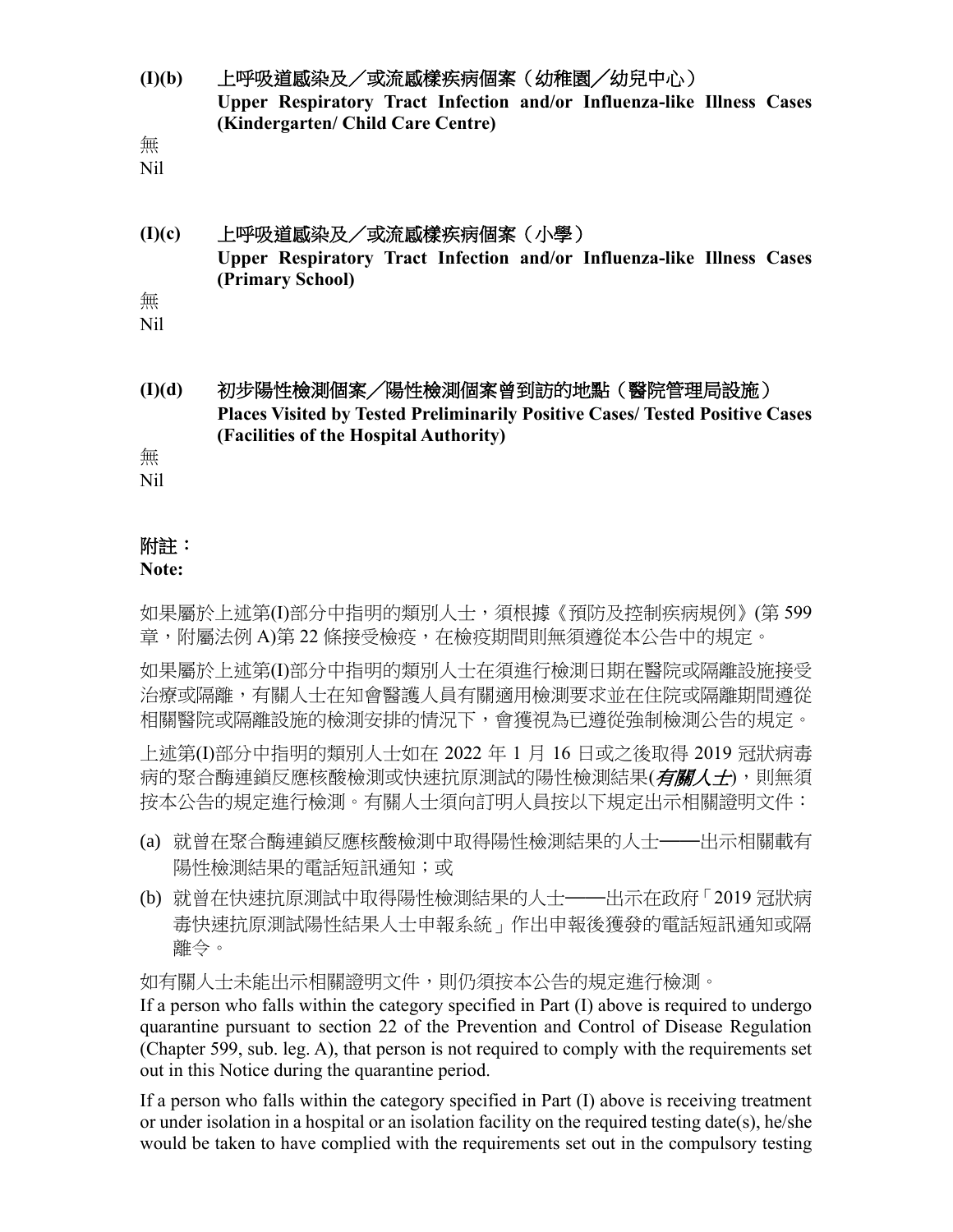- **(I)(b)** 上呼吸道感染及/或流感樣疾病個案(幼稚園╱幼兒中心) **Upper Respiratory Tract Infection and/or Influenza-like Illness Cases (Kindergarten/ Child Care Centre)**
- 無

Nil

**(I)(c)** 上呼吸道感染及/或流感樣疾病個案(小學) **Upper Respiratory Tract Infection and/or Influenza-like Illness Cases (Primary School)** 無

Nil

**(I)(d)** 初步陽性檢測個案╱陽性檢測個案曾到訪的地點(醫院管理局設施) **Places Visited by Tested Preliminarily Positive Cases/ Tested Positive Cases (Facilities of the Hospital Authority)**

無

Nil

## 附註:

#### **Note:**

如果屬於上述第(I)部分中指明的類別人士,須根據《預防及控制疾病規例》(第 599 章,附屬法例 A)第 22 條接受檢疫,在檢疫期間則無須遵從本公告中的規定。

如果屬於上述第(I)部分中指明的類別人士在須進行檢測日期在醫院或隔離設施接受 治療或隔離,有關人士在知會醫護人員有關適用檢測要求並在住院或隔離期間遵從 相關醫院或隔離設施的檢測安排的情況下,會獲視為已遵從強制檢測公告的規定。

上述第(I)部分中指明的類別人士如在 2022 年 1 月 16 日或之後取得 2019 冠狀病毒 病的聚合酶連鎖反應核酸檢測或快速抗原測試的陽性檢測結果(*有關人士*),則無須 按本公告的規定進行檢測。有關人士須向訂明人員按以下規定出示相關證明文件:

- (a) 就曾在聚合酶連鎖反應核酸檢測中取得陽性檢測結果的人士——出示相關載有 陽性檢測結果的電話短訊通知;或
- (b) 就曾在快速抗原測試中取得陽性檢測結果的人士——出示在政府「2019 冠狀病 毒快速抗原測試陽性結果人士申報系統」作出申報後獲發的電話短訊通知或隔 離令。

如有關人士未能出示相關證明文件,則仍須按本公告的規定進行檢測。

If a person who falls within the category specified in Part (I) above is required to undergo quarantine pursuant to section 22 of the Prevention and Control of Disease Regulation (Chapter 599, sub. leg. A), that person is not required to comply with the requirements set out in this Notice during the quarantine period.

If a person who falls within the category specified in Part (I) above is receiving treatment or under isolation in a hospital or an isolation facility on the required testing date(s), he/she would be taken to have complied with the requirements set out in the compulsory testing